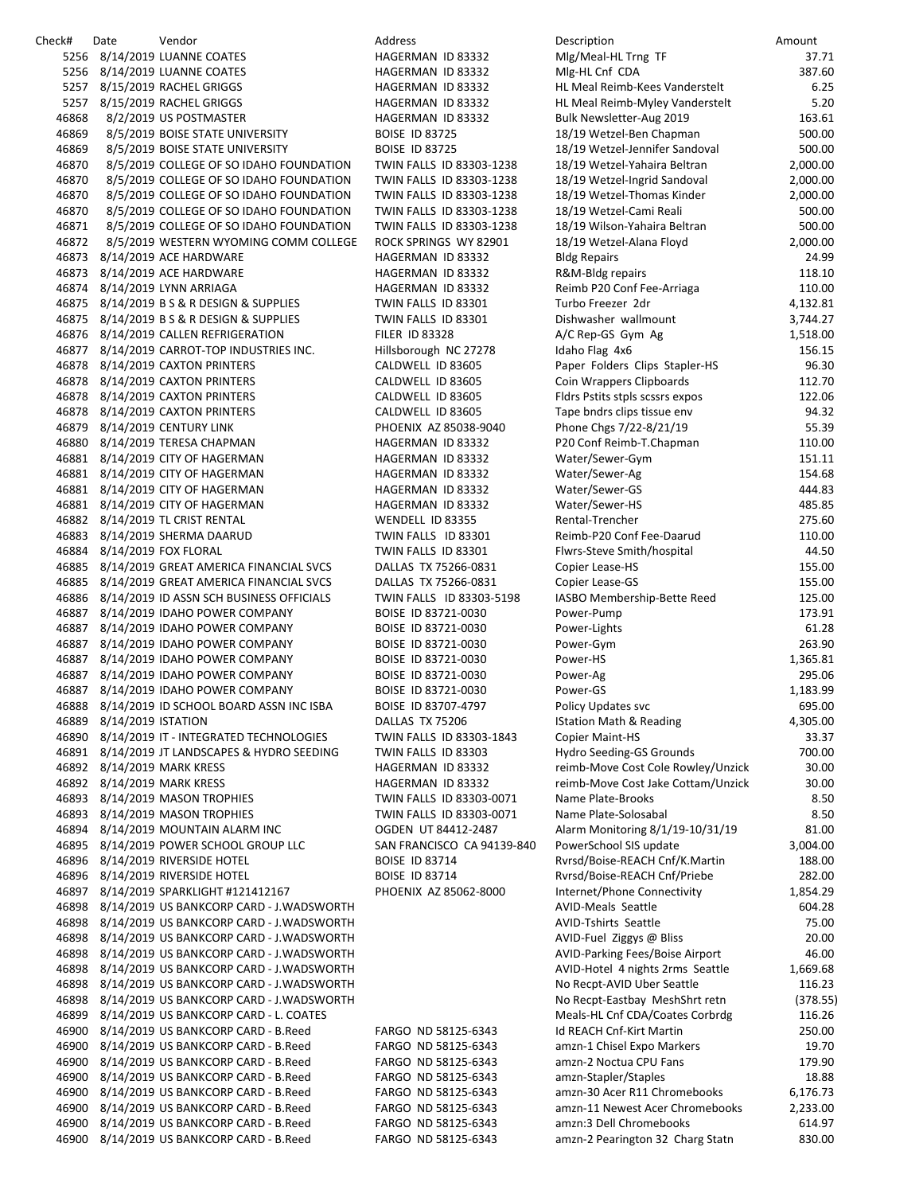| Check# | Date                       | Vendor                                         | Address                    | Description                        | Amount   |
|--------|----------------------------|------------------------------------------------|----------------------------|------------------------------------|----------|
|        |                            | 5256 8/14/2019 LUANNE COATES                   | HAGERMAN ID 83332          | Mlg/Meal-HL Trng TF                | 37.71    |
|        |                            | 5256 8/14/2019 LUANNE COATES                   | HAGERMAN ID 83332          | Mlg-HL Cnf CDA                     | 387.60   |
|        |                            | 5257 8/15/2019 RACHEL GRIGGS                   | HAGERMAN ID 83332          | HL Meal Reimb-Kees Vanderstelt     | 6.25     |
| 5257   |                            | 8/15/2019 RACHEL GRIGGS                        | HAGERMAN ID 83332          | HL Meal Reimb-Myley Vanderstelt    | 5.20     |
| 46868  |                            | 8/2/2019 US POSTMASTER                         | HAGERMAN ID 83332          | Bulk Newsletter-Aug 2019           | 163.61   |
|        |                            |                                                |                            |                                    |          |
| 46869  |                            | 8/5/2019 BOISE STATE UNIVERSITY                | <b>BOISE ID 83725</b>      | 18/19 Wetzel-Ben Chapman           | 500.00   |
| 46869  |                            | 8/5/2019 BOISE STATE UNIVERSITY                | <b>BOISE ID 83725</b>      | 18/19 Wetzel-Jennifer Sandoval     | 500.00   |
| 46870  |                            | 8/5/2019 COLLEGE OF SO IDAHO FOUNDATION        | TWIN FALLS ID 83303-1238   | 18/19 Wetzel-Yahaira Beltran       | 2,000.00 |
| 46870  |                            | 8/5/2019 COLLEGE OF SO IDAHO FOUNDATION        | TWIN FALLS ID 83303-1238   | 18/19 Wetzel-Ingrid Sandoval       | 2,000.00 |
| 46870  |                            | 8/5/2019 COLLEGE OF SO IDAHO FOUNDATION        | TWIN FALLS ID 83303-1238   | 18/19 Wetzel-Thomas Kinder         | 2,000.00 |
| 46870  |                            | 8/5/2019 COLLEGE OF SO IDAHO FOUNDATION        | TWIN FALLS ID 83303-1238   | 18/19 Wetzel-Cami Reali            | 500.00   |
| 46871  |                            | 8/5/2019 COLLEGE OF SO IDAHO FOUNDATION        | TWIN FALLS ID 83303-1238   | 18/19 Wilson-Yahaira Beltran       | 500.00   |
| 46872  |                            | 8/5/2019 WESTERN WYOMING COMM COLLEGE          | ROCK SPRINGS WY 82901      | 18/19 Wetzel-Alana Floyd           | 2,000.00 |
|        |                            | 46873 8/14/2019 ACE HARDWARE                   | HAGERMAN ID 83332          | <b>Bldg Repairs</b>                | 24.99    |
| 46873  |                            | 8/14/2019 ACE HARDWARE                         | HAGERMAN ID 83332          | R&M-Bldg repairs                   | 118.10   |
|        |                            |                                                |                            |                                    | 110.00   |
|        |                            | 46874 8/14/2019 LYNN ARRIAGA                   | HAGERMAN ID 83332          | Reimb P20 Conf Fee-Arriaga         |          |
|        |                            | 46875 8/14/2019 B S & R DESIGN & SUPPLIES      | TWIN FALLS ID 83301        | Turbo Freezer 2dr                  | 4,132.81 |
|        |                            | 46875 8/14/2019 B S & R DESIGN & SUPPLIES      | TWIN FALLS ID 83301        | Dishwasher wallmount               | 3,744.27 |
|        |                            | 46876 8/14/2019 CALLEN REFRIGERATION           | <b>FILER ID 83328</b>      | A/C Rep-GS Gym Ag                  | 1,518.00 |
|        |                            | 46877 8/14/2019 CARROT-TOP INDUSTRIES INC.     | Hillsborough NC 27278      | Idaho Flag 4x6                     | 156.15   |
|        |                            | 46878 8/14/2019 CAXTON PRINTERS                | CALDWELL ID 83605          | Paper Folders Clips Stapler-HS     | 96.30    |
|        |                            | 46878 8/14/2019 CAXTON PRINTERS                | CALDWELL ID 83605          | Coin Wrappers Clipboards           | 112.70   |
|        |                            | 46878 8/14/2019 CAXTON PRINTERS                | CALDWELL ID 83605          | Fidrs Pstits stpls scssrs expos    | 122.06   |
|        |                            | 46878 8/14/2019 CAXTON PRINTERS                | CALDWELL ID 83605          | Tape bndrs clips tissue env        | 94.32    |
|        |                            | 46879 8/14/2019 CENTURY LINK                   | PHOENIX AZ 85038-9040      | Phone Chgs 7/22-8/21/19            | 55.39    |
|        |                            | 46880 8/14/2019 TERESA CHAPMAN                 | HAGERMAN ID 83332          | P20 Conf Reimb-T.Chapman           | 110.00   |
|        |                            | 46881 8/14/2019 CITY OF HAGERMAN               |                            | Water/Sewer-Gym                    | 151.11   |
|        |                            |                                                | HAGERMAN ID 83332          |                                    |          |
|        |                            | 46881 8/14/2019 CITY OF HAGERMAN               | HAGERMAN ID 83332          | Water/Sewer-Ag                     | 154.68   |
|        |                            | 46881 8/14/2019 CITY OF HAGERMAN               | HAGERMAN ID 83332          | Water/Sewer-GS                     | 444.83   |
|        |                            | 46881 8/14/2019 CITY OF HAGERMAN               | HAGERMAN ID 83332          | Water/Sewer-HS                     | 485.85   |
|        |                            | 46882 8/14/2019 TL CRIST RENTAL                | WENDELL ID 83355           | Rental-Trencher                    | 275.60   |
|        |                            | 46883 8/14/2019 SHERMA DAARUD                  | TWIN FALLS ID 83301        | Reimb-P20 Conf Fee-Daarud          | 110.00   |
|        | 46884 8/14/2019 FOX FLORAL |                                                | TWIN FALLS ID 83301        | Flwrs-Steve Smith/hospital         | 44.50    |
|        |                            | 46885 8/14/2019 GREAT AMERICA FINANCIAL SVCS   | DALLAS TX 75266-0831       | Copier Lease-HS                    | 155.00   |
| 46885  |                            | 8/14/2019 GREAT AMERICA FINANCIAL SVCS         | DALLAS TX 75266-0831       | Copier Lease-GS                    | 155.00   |
| 46886  |                            | 8/14/2019 ID ASSN SCH BUSINESS OFFICIALS       | TWIN FALLS ID 83303-5198   | IASBO Membership-Bette Reed        | 125.00   |
|        |                            | 46887 8/14/2019 IDAHO POWER COMPANY            | BOISE ID 83721-0030        | Power-Pump                         | 173.91   |
|        |                            | 46887 8/14/2019 IDAHO POWER COMPANY            | BOISE ID 83721-0030        | Power-Lights                       | 61.28    |
|        |                            | 46887 8/14/2019 IDAHO POWER COMPANY            | BOISE ID 83721-0030        | Power-Gym                          | 263.90   |
|        |                            | 46887 8/14/2019 IDAHO POWER COMPANY            | BOISE ID 83721-0030        | Power-HS                           | 1,365.81 |
|        |                            | 46887 8/14/2019 IDAHO POWER COMPANY            | BOISE ID 83721-0030        | Power-Ag                           | 295.06   |
|        |                            | 46887 8/14/2019 IDAHO POWER COMPANY            | BOISE ID 83721-0030        | Power-GS                           | 1,183.99 |
| 46888  |                            | 8/14/2019 ID SCHOOL BOARD ASSN INC ISBA        | BOISE ID 83707-4797        | <b>Policy Updates svc</b>          | 695.00   |
|        | 46889 8/14/2019 ISTATION   |                                                | DALLAS TX 75206            | <b>IStation Math &amp; Reading</b> | 4,305.00 |
| 46890  |                            | 8/14/2019 IT - INTEGRATED TECHNOLOGIES         | TWIN FALLS ID 83303-1843   | <b>Copier Maint-HS</b>             | 33.37    |
|        |                            |                                                | TWIN FALLS ID 83303        |                                    | 700.00   |
| 46891  |                            | 8/14/2019 JT LANDSCAPES & HYDRO SEEDING        |                            | Hydro Seeding-GS Grounds           |          |
|        |                            | 46892 8/14/2019 MARK KRESS                     | HAGERMAN ID 83332          | reimb-Move Cost Cole Rowley/Unzick | 30.00    |
|        |                            | 46892 8/14/2019 MARK KRESS                     | HAGERMAN ID 83332          | reimb-Move Cost Jake Cottam/Unzick | 30.00    |
| 46893  |                            | 8/14/2019 MASON TROPHIES                       | TWIN FALLS ID 83303-0071   | Name Plate-Brooks                  | 8.50     |
|        |                            | 46893 8/14/2019 MASON TROPHIES                 | TWIN FALLS ID 83303-0071   | Name Plate-Solosabal               | 8.50     |
|        |                            | 46894 8/14/2019 MOUNTAIN ALARM INC             | OGDEN UT 84412-2487        | Alarm Monitoring 8/1/19-10/31/19   | 81.00    |
|        |                            | 46895 8/14/2019 POWER SCHOOL GROUP LLC         | SAN FRANCISCO CA 94139-840 | PowerSchool SIS update             | 3,004.00 |
| 46896  |                            | 8/14/2019 RIVERSIDE HOTEL                      | <b>BOISE ID 83714</b>      | Rvrsd/Boise-REACH Cnf/K.Martin     | 188.00   |
|        |                            | 46896 8/14/2019 RIVERSIDE HOTEL                | <b>BOISE ID 83714</b>      | Ryrsd/Boise-REACH Cnf/Priebe       | 282.00   |
| 46897  |                            | 8/14/2019 SPARKLIGHT #121412167                | PHOENIX AZ 85062-8000      | Internet/Phone Connectivity        | 1,854.29 |
| 46898  |                            | 8/14/2019 US BANKCORP CARD - J.WADSWORTH       |                            | <b>AVID-Meals Seattle</b>          | 604.28   |
| 46898  |                            | 8/14/2019 US BANKCORP CARD - J.WADSWORTH       |                            | <b>AVID-Tshirts Seattle</b>        | 75.00    |
|        |                            | 46898 8/14/2019 US BANKCORP CARD - J.WADSWORTH |                            | AVID-Fuel Ziggys @ Bliss           | 20.00    |
| 46898  |                            | 8/14/2019 US BANKCORP CARD - J.WADSWORTH       |                            | AVID-Parking Fees/Boise Airport    | 46.00    |
| 46898  |                            | 8/14/2019 US BANKCORP CARD - J.WADSWORTH       |                            | AVID-Hotel 4 nights 2rms Seattle   | 1,669.68 |
| 46898  |                            |                                                |                            |                                    |          |
|        |                            | 8/14/2019 US BANKCORP CARD - J.WADSWORTH       |                            | No Recpt-AVID Uber Seattle         | 116.23   |
| 46898  |                            | 8/14/2019 US BANKCORP CARD - J.WADSWORTH       |                            | No Recpt-Eastbay MeshShrt retn     | (378.55) |
| 46899  |                            | 8/14/2019 US BANKCORP CARD - L. COATES         |                            | Meals-HL Cnf CDA/Coates Corbrdg    | 116.26   |
| 46900  |                            | 8/14/2019 US BANKCORP CARD - B.Reed            | FARGO ND 58125-6343        | Id REACH Cnf-Kirt Martin           | 250.00   |
| 46900  |                            | 8/14/2019 US BANKCORP CARD - B.Reed            | FARGO ND 58125-6343        | amzn-1 Chisel Expo Markers         | 19.70    |
| 46900  |                            | 8/14/2019 US BANKCORP CARD - B.Reed            | FARGO ND 58125-6343        | amzn-2 Noctua CPU Fans             | 179.90   |
| 46900  |                            | 8/14/2019 US BANKCORP CARD - B.Reed            | FARGO ND 58125-6343        | amzn-Stapler/Staples               | 18.88    |
| 46900  |                            | 8/14/2019 US BANKCORP CARD - B.Reed            | FARGO ND 58125-6343        | amzn-30 Acer R11 Chromebooks       | 6,176.73 |
| 46900  |                            | 8/14/2019 US BANKCORP CARD - B.Reed            | FARGO ND 58125-6343        | amzn-11 Newest Acer Chromebooks    | 2,233.00 |
| 46900  |                            | 8/14/2019 US BANKCORP CARD - B.Reed            | FARGO ND 58125-6343        | amzn:3 Dell Chromebooks            | 614.97   |
|        |                            | 46900 8/14/2019 US BANKCORP CARD - B.Reed      | FARGO ND 58125-6343        | amzn-2 Pearington 32 Charg Statn   | 830.00   |
|        |                            |                                                |                            |                                    |          |

| <b>Description</b>                                         | Amount               |
|------------------------------------------------------------|----------------------|
| Alg/Meal-HL Trng TF                                        | 37.71<br>387.60      |
| Alg-HL Cnf CDA<br>IL Meal Reimb-Kees Vanderstelt           | 6.25                 |
| IL Meal Reimb-Myley Vanderstelt                            | 5.20                 |
| Bulk Newsletter-Aug 2019                                   | 163.61               |
| 8/19 Wetzel-Ben Chapman                                    | 500.00               |
| 8/19 Wetzel-Jennifer Sandoval                              | 500.00               |
| 8/19 Wetzel-Yahaira Beltran<br>8/19 Wetzel-Ingrid Sandoval | 2,000.00<br>2,000.00 |
| 8/19 Wetzel-Thomas Kinder                                  | 2,000.00             |
| 8/19 Wetzel-Cami Reali                                     | 500.00               |
| 8/19 Wilson-Yahaira Beltran                                | 500.00               |
| 8/19 Wetzel-Alana Floyd                                    | 2,000.00             |
| <b>Idg Repairs</b>                                         | 24.99                |
| <b>&amp;M-Bldg repairs</b><br>eimb P20 Conf Fee-Arriaga    | 118.10<br>110.00     |
| urbo Freezer 2dr                                           | 4,132.81             |
| Dishwasher wallmount                                       | 3,744.27             |
| V/C Rep-GS Gym Ag                                          | 1,518.00             |
| daho Flag 4x6                                              | 156.15               |
| aper Folders Clips Stapler-HS                              | 96.30                |
| Coin Wrappers Clipboards<br>Idrs Pstits stpls scssrs expos | 112.70<br>122.06     |
| ape bndrs clips tissue env                                 | 94.32                |
| hone Chgs 7/22-8/21/19                                     | 55.39                |
| 20 Conf Reimb-T.Chapman                                    | 110.00               |
| Vater/Sewer-Gym                                            | 151.11               |
| Vater/Sewer-Ag                                             | 154.68               |
| Vater/Sewer-GS                                             | 444.83<br>485.85     |
| Vater/Sewer-HS<br>≀ental-Trencher                          | 275.60               |
| eimb-P20 Conf Fee-Daarud                                   | 110.00               |
| Iwrs-Steve Smith/hospital                                  | 44.50                |
| Copier Lease-HS                                            | 155.00               |
| Copier Lease-GS                                            | 155.00               |
| ASBO Membership-Bette Reed<br>ower-Pump'                   | 125.00<br>173.91     |
| ower-Lights                                                | 61.28                |
| ower-Gym                                                   | 263.90               |
| ower-HS                                                    | 1,365.81             |
| ower-Ag'                                                   | 295.06               |
| ower-GS                                                    | 1,183.99             |
| olicy Updates svc<br><b>Station Math &amp; Reading</b>     | 695.00<br>4,305.00   |
| Copier Maint-HS                                            | 33.37                |
| lydro Seeding-GS Grounds                                   | 700.00               |
| eimb-Move Cost Cole Rowley/Unzick                          | 30.00                |
| eimb-Move Cost Jake Cottam/Unzick                          | 30.00                |
| <b>Jame Plate-Brooks</b>                                   | 8.50                 |
| Vame Plate-Solosabal<br>Alarm Monitoring 8/1/19-10/31/19   | 8.50<br>81.00        |
| owerSchool SIS update                                      | 3,004.00             |
| Nrsd/Boise-REACH Cnf/K.Martin                              | 188.00               |
| የvrsd/Boise-REACH Cnf/Priebe                               | 282.00               |
| nternet/Phone Connectivity                                 | 1,854.29             |
| <b>NUD-Meals Seattle</b><br><b>NID-Tshirts Seattle</b>     | 604.28               |
| VID-Fuel Ziggys @ Bliss                                    | 75.00<br>20.00       |
| <b>WID-Parking Fees/Boise Airport</b>                      | 46.00                |
| VID-Hotel 4 nights 2rms Seattle                            | 1,669.68             |
| <b>No Recpt-AVID Uber Seattle</b>                          | 116.23               |
| Vo Recpt-Eastbay MeshShrt retn                             | (378.55)             |
| Meals-HL Cnf CDA/Coates Corbrdg<br>d REACH Cnf-Kirt Martin | 116.26<br>250.00     |
| mzn-1 Chisel Expo Markers                                  | 19.70                |
| mzn-2 Noctua CPU Fans                                      | 179.90               |
| mzn-Stapler/Staples                                        | 18.88                |
| mzn-30 Acer R11 Chromebooks                                | 6,176.73             |
| mzn-11 Newest Acer Chromebooks<br>mzn:3 Dell Chromebooks   | 2,233.00             |
| mzn-2 Pearington 32 Charg Statn                            | 614.97<br>830.00     |
|                                                            |                      |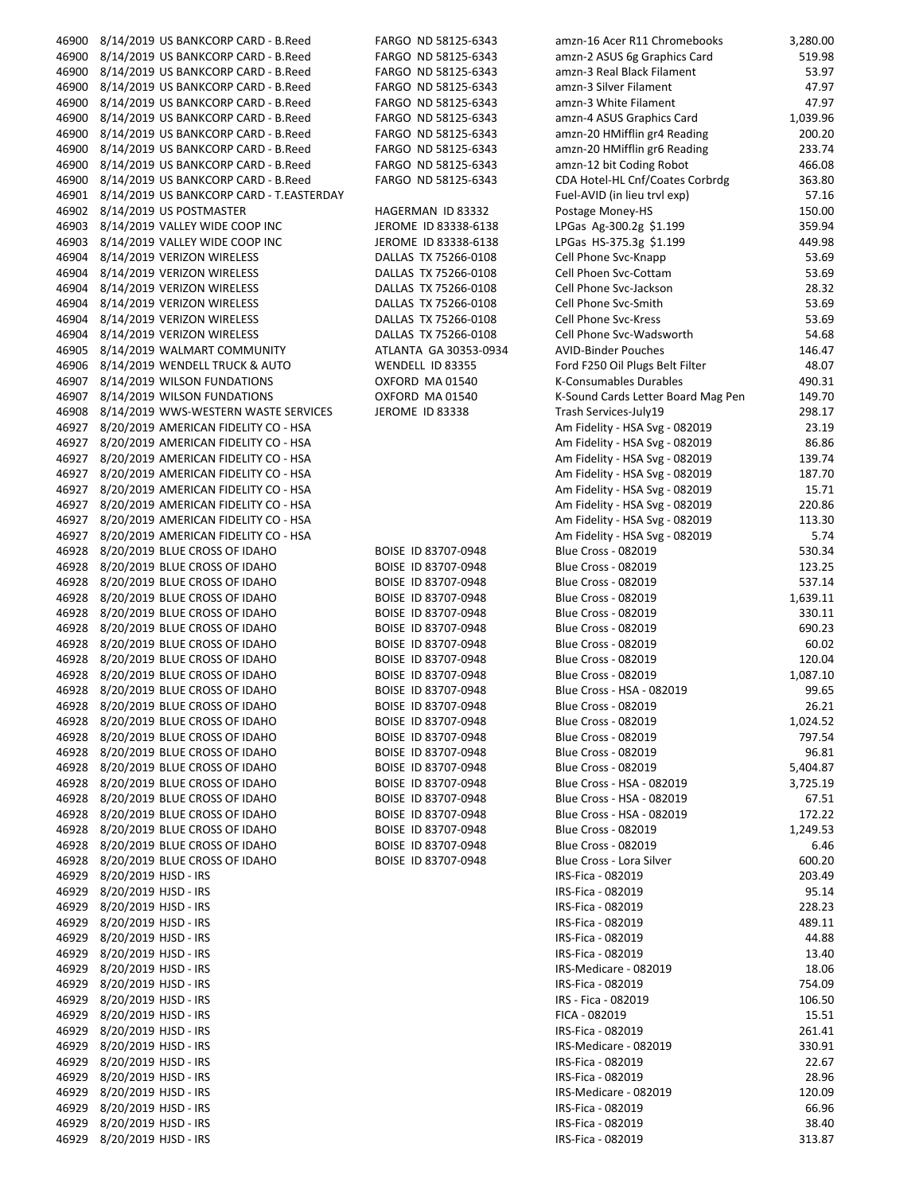| 46900 | 8/14/2019 US BANKCORP CARD - B.Reed            | FARGO ND 58125-6343    | amzn-16 Acer R11 Chromebooks       | 3,280.00 |
|-------|------------------------------------------------|------------------------|------------------------------------|----------|
| 46900 | 8/14/2019 US BANKCORP CARD - B.Reed            | FARGO ND 58125-6343    | amzn-2 ASUS 6g Graphics Card       | 519.98   |
|       | 46900 8/14/2019 US BANKCORP CARD - B.Reed      | FARGO ND 58125-6343    | amzn-3 Real Black Filament         | 53.97    |
| 46900 | 8/14/2019 US BANKCORP CARD - B.Reed            | FARGO ND 58125-6343    | amzn-3 Silver Filament             | 47.97    |
|       |                                                |                        |                                    |          |
| 46900 | 8/14/2019 US BANKCORP CARD - B.Reed            | FARGO ND 58125-6343    | amzn-3 White Filament              | 47.97    |
| 46900 | 8/14/2019 US BANKCORP CARD - B.Reed            | FARGO ND 58125-6343    | amzn-4 ASUS Graphics Card          | 1,039.96 |
| 46900 | 8/14/2019 US BANKCORP CARD - B.Reed            | FARGO ND 58125-6343    | amzn-20 HMifflin gr4 Reading       | 200.20   |
| 46900 | 8/14/2019 US BANKCORP CARD - B.Reed            | FARGO ND 58125-6343    | amzn-20 HMifflin gr6 Reading       | 233.74   |
| 46900 | 8/14/2019 US BANKCORP CARD - B.Reed            | FARGO ND 58125-6343    | amzn-12 bit Coding Robot           | 466.08   |
|       |                                                |                        | CDA Hotel-HL Cnf/Coates Corbrdg    |          |
| 46900 | 8/14/2019 US BANKCORP CARD - B.Reed            | FARGO ND 58125-6343    |                                    | 363.80   |
|       | 46901 8/14/2019 US BANKCORP CARD - T.EASTERDAY |                        | Fuel-AVID (in lieu tryl exp)       | 57.16    |
| 46902 | 8/14/2019 US POSTMASTER                        | HAGERMAN ID 83332      | Postage Money-HS                   | 150.00   |
| 46903 | 8/14/2019 VALLEY WIDE COOP INC                 | JEROME ID 83338-6138   | LPGas Ag-300.2g \$1.199            | 359.94   |
| 46903 | 8/14/2019 VALLEY WIDE COOP INC                 | JEROME ID 83338-6138   | LPGas HS-375.3g \$1.199            | 449.98   |
|       |                                                |                        |                                    |          |
| 46904 | 8/14/2019 VERIZON WIRELESS                     | DALLAS TX 75266-0108   | Cell Phone Svc-Knapp               | 53.69    |
| 46904 | 8/14/2019 VERIZON WIRELESS                     | DALLAS TX 75266-0108   | Cell Phoen Svc-Cottam              | 53.69    |
| 46904 | 8/14/2019 VERIZON WIRELESS                     | DALLAS TX 75266-0108   | Cell Phone Svc-Jackson             | 28.32    |
| 46904 | 8/14/2019 VERIZON WIRELESS                     | DALLAS TX 75266-0108   | Cell Phone Svc-Smith               | 53.69    |
| 46904 | 8/14/2019 VERIZON WIRELESS                     | DALLAS TX 75266-0108   | Cell Phone Svc-Kress               | 53.69    |
|       |                                                |                        |                                    |          |
| 46904 | 8/14/2019 VERIZON WIRELESS                     | DALLAS TX 75266-0108   | Cell Phone Svc-Wadsworth           | 54.68    |
| 46905 | 8/14/2019 WALMART COMMUNITY                    | ATLANTA GA 30353-0934  | <b>AVID-Binder Pouches</b>         | 146.47   |
| 46906 | 8/14/2019 WENDELL TRUCK & AUTO                 | WENDELL ID 83355       | Ford F250 Oil Plugs Belt Filter    | 48.07    |
| 46907 | 8/14/2019 WILSON FUNDATIONS                    | OXFORD MA 01540        | K-Consumables Durables             | 490.31   |
| 46907 | 8/14/2019 WILSON FUNDATIONS                    | OXFORD MA 01540        | K-Sound Cards Letter Board Mag Pen | 149.70   |
|       |                                                |                        |                                    |          |
| 46908 | 8/14/2019 WWS-WESTERN WASTE SERVICES           | <b>JEROME ID 83338</b> | Trash Services-July19              | 298.17   |
| 46927 | 8/20/2019 AMERICAN FIDELITY CO - HSA           |                        | Am Fidelity - HSA Svg - 082019     | 23.19    |
| 46927 | 8/20/2019 AMERICAN FIDELITY CO - HSA           |                        | Am Fidelity - HSA Svg - 082019     | 86.86    |
|       | 46927 8/20/2019 AMERICAN FIDELITY CO - HSA     |                        | Am Fidelity - HSA Svg - 082019     | 139.74   |
|       |                                                |                        |                                    |          |
| 46927 | 8/20/2019 AMERICAN FIDELITY CO - HSA           |                        | Am Fidelity - HSA Svg - 082019     | 187.70   |
| 46927 | 8/20/2019 AMERICAN FIDELITY CO - HSA           |                        | Am Fidelity - HSA Svg - 082019     | 15.71    |
| 46927 | 8/20/2019 AMERICAN FIDELITY CO - HSA           |                        | Am Fidelity - HSA Svg - 082019     | 220.86   |
| 46927 | 8/20/2019 AMERICAN FIDELITY CO - HSA           |                        | Am Fidelity - HSA Svg - 082019     | 113.30   |
| 46927 | 8/20/2019 AMERICAN FIDELITY CO - HSA           |                        | Am Fidelity - HSA Svg - 082019     | 5.74     |
|       |                                                |                        |                                    |          |
| 46928 | 8/20/2019 BLUE CROSS OF IDAHO                  | BOISE ID 83707-0948    | <b>Blue Cross - 082019</b>         | 530.34   |
|       | 46928 8/20/2019 BLUE CROSS OF IDAHO            | BOISE ID 83707-0948    | <b>Blue Cross - 082019</b>         | 123.25   |
| 46928 | 8/20/2019 BLUE CROSS OF IDAHO                  | BOISE ID 83707-0948    | <b>Blue Cross - 082019</b>         | 537.14   |
| 46928 | 8/20/2019 BLUE CROSS OF IDAHO                  | BOISE ID 83707-0948    | <b>Blue Cross - 082019</b>         | 1,639.11 |
| 46928 | 8/20/2019 BLUE CROSS OF IDAHO                  | BOISE ID 83707-0948    | <b>Blue Cross - 082019</b>         | 330.11   |
|       |                                                |                        |                                    | 690.23   |
| 46928 | 8/20/2019 BLUE CROSS OF IDAHO                  | BOISE ID 83707-0948    | <b>Blue Cross - 082019</b>         |          |
| 46928 | 8/20/2019 BLUE CROSS OF IDAHO                  | BOISE ID 83707-0948    | <b>Blue Cross - 082019</b>         | 60.02    |
| 46928 | 8/20/2019 BLUE CROSS OF IDAHO                  | BOISE ID 83707-0948    | <b>Blue Cross - 082019</b>         | 120.04   |
| 46928 | 8/20/2019 BLUE CROSS OF IDAHO                  | BOISE ID 83707-0948    | <b>Blue Cross - 082019</b>         | 1,087.10 |
| 46928 | 8/20/2019 BLUE CROSS OF IDAHO                  | BOISE ID 83707-0948    | Blue Cross - HSA - 082019          | 99.65    |
|       |                                                | BOISE ID 83707-0948    |                                    | 26.21    |
| 46928 | 8/20/2019 BLUE CROSS OF IDAHO                  |                        | <b>Blue Cross - 082019</b>         |          |
|       | 46928 8/20/2019 BLUE CROSS OF IDAHO            | BOISE ID 83707-0948    | Blue Cross - 082019                | 1,024.52 |
| 46928 | 8/20/2019 BLUE CROSS OF IDAHO                  | BOISE ID 83707-0948    | <b>Blue Cross - 082019</b>         | 797.54   |
|       | 46928 8/20/2019 BLUE CROSS OF IDAHO            | BOISE ID 83707-0948    | <b>Blue Cross - 082019</b>         | 96.81    |
|       | 46928 8/20/2019 BLUE CROSS OF IDAHO            | BOISE ID 83707-0948    | <b>Blue Cross - 082019</b>         | 5,404.87 |
|       |                                                |                        |                                    |          |
|       | 46928 8/20/2019 BLUE CROSS OF IDAHO            | BOISE ID 83707-0948    | Blue Cross - HSA - 082019          | 3,725.19 |
| 46928 | 8/20/2019 BLUE CROSS OF IDAHO                  | BOISE ID 83707-0948    | Blue Cross - HSA - 082019          | 67.51    |
|       | 46928 8/20/2019 BLUE CROSS OF IDAHO            | BOISE ID 83707-0948    | Blue Cross - HSA - 082019          | 172.22   |
|       | 46928 8/20/2019 BLUE CROSS OF IDAHO            | BOISE ID 83707-0948    | <b>Blue Cross - 082019</b>         | 1,249.53 |
|       | 46928 8/20/2019 BLUE CROSS OF IDAHO            | BOISE ID 83707-0948    | <b>Blue Cross - 082019</b>         | 6.46     |
|       |                                                |                        |                                    |          |
|       | 46928 8/20/2019 BLUE CROSS OF IDAHO            | BOISE ID 83707-0948    | Blue Cross - Lora Silver           | 600.20   |
|       | 46929 8/20/2019 HJSD - IRS                     |                        | IRS-Fica - 082019                  | 203.49   |
| 46929 | 8/20/2019 HJSD - IRS                           |                        | IRS-Fica - 082019                  | 95.14    |
| 46929 | 8/20/2019 HJSD - IRS                           |                        | IRS-Fica - 082019                  | 228.23   |
| 46929 | 8/20/2019 HJSD - IRS                           |                        | IRS-Fica - 082019                  | 489.11   |
|       |                                                |                        |                                    |          |
| 46929 | 8/20/2019 HJSD - IRS                           |                        | IRS-Fica - 082019                  | 44.88    |
| 46929 | 8/20/2019 HJSD - IRS                           |                        | IRS-Fica - 082019                  | 13.40    |
| 46929 | 8/20/2019 HJSD - IRS                           |                        | IRS-Medicare - 082019              | 18.06    |
| 46929 | 8/20/2019 HJSD - IRS                           |                        | IRS-Fica - 082019                  | 754.09   |
| 46929 | 8/20/2019 HJSD - IRS                           |                        | IRS - Fica - 082019                | 106.50   |
|       |                                                |                        |                                    |          |
| 46929 | 8/20/2019 HJSD - IRS                           |                        | FICA - 082019                      | 15.51    |
| 46929 | 8/20/2019 HJSD - IRS                           |                        | IRS-Fica - 082019                  | 261.41   |
| 46929 | 8/20/2019 HJSD - IRS                           |                        | IRS-Medicare - 082019              | 330.91   |
| 46929 | 8/20/2019 HJSD - IRS                           |                        | IRS-Fica - 082019                  | 22.67    |
| 46929 | 8/20/2019 HJSD - IRS                           |                        | IRS-Fica - 082019                  | 28.96    |
|       |                                                |                        |                                    |          |
| 46929 | 8/20/2019 HJSD - IRS                           |                        | IRS-Medicare - 082019              | 120.09   |
| 46929 | 8/20/2019 HJSD - IRS                           |                        | IRS-Fica - 082019                  | 66.96    |
| 46929 | 8/20/2019 HJSD - IRS                           |                        | IRS-Fica - 082019                  | 38.40    |
| 46929 | 8/20/2019 HJSD - IRS                           |                        | IRS-Fica - 082019                  | 313.87   |
|       |                                                |                        |                                    |          |

| 46900 | 8/14/2019 US BANKCORP CARD - B.Reed            | FARGO ND 58125-6343   | amzn-16 Acer R11 Chromebooks       | 3,280.00 |
|-------|------------------------------------------------|-----------------------|------------------------------------|----------|
| 46900 | 8/14/2019 US BANKCORP CARD - B.Reed            | FARGO ND 58125-6343   | amzn-2 ASUS 6g Graphics Card       | 519.98   |
| 46900 | 8/14/2019 US BANKCORP CARD - B.Reed            | FARGO ND 58125-6343   | amzn-3 Real Black Filament         | 53.97    |
| 46900 | 8/14/2019 US BANKCORP CARD - B.Reed            | FARGO ND 58125-6343   | amzn-3 Silver Filament             | 47.97    |
| 46900 | 8/14/2019 US BANKCORP CARD - B.Reed            | FARGO ND 58125-6343   | amzn-3 White Filament              | 47.97    |
| 46900 | 8/14/2019 US BANKCORP CARD - B.Reed            | FARGO ND 58125-6343   | amzn-4 ASUS Graphics Card          | 1,039.96 |
| 46900 | 8/14/2019 US BANKCORP CARD - B.Reed            | FARGO ND 58125-6343   | amzn-20 HMifflin gr4 Reading       | 200.20   |
| 46900 | 8/14/2019 US BANKCORP CARD - B.Reed            | FARGO ND 58125-6343   | amzn-20 HMifflin gr6 Reading       | 233.74   |
| 46900 |                                                |                       |                                    |          |
|       | 8/14/2019 US BANKCORP CARD - B.Reed            | FARGO ND 58125-6343   | amzn-12 bit Coding Robot           | 466.08   |
| 46900 | 8/14/2019 US BANKCORP CARD - B.Reed            | FARGO ND 58125-6343   | CDA Hotel-HL Cnf/Coates Corbrdg    | 363.80   |
|       | 46901 8/14/2019 US BANKCORP CARD - T.EASTERDAY |                       | Fuel-AVID (in lieu trvl exp)       | 57.16    |
|       | 46902 8/14/2019 US POSTMASTER                  | HAGERMAN ID 83332     | Postage Money-HS                   | 150.00   |
| 46903 | 8/14/2019 VALLEY WIDE COOP INC                 | JEROME ID 83338-6138  | LPGas Ag-300.2g \$1.199            | 359.94   |
|       | 46903 8/14/2019 VALLEY WIDE COOP INC           | JEROME ID 83338-6138  | LPGas HS-375.3g \$1.199            | 449.98   |
| 46904 | 8/14/2019 VERIZON WIRELESS                     | DALLAS TX 75266-0108  | Cell Phone Svc-Knapp               | 53.69    |
| 46904 | 8/14/2019 VERIZON WIRELESS                     | DALLAS TX 75266-0108  | Cell Phoen Svc-Cottam              | 53.69    |
| 46904 | 8/14/2019 VERIZON WIRELESS                     | DALLAS TX 75266-0108  | Cell Phone Svc-Jackson             | 28.32    |
| 46904 | 8/14/2019 VERIZON WIRELESS                     | DALLAS TX 75266-0108  | Cell Phone Svc-Smith               | 53.69    |
| 46904 | 8/14/2019 VERIZON WIRELESS                     | DALLAS TX 75266-0108  | Cell Phone Svc-Kress               | 53.69    |
| 46904 | 8/14/2019 VERIZON WIRELESS                     | DALLAS TX 75266-0108  | Cell Phone Svc-Wadsworth           | 54.68    |
| 46905 | 8/14/2019 WALMART COMMUNITY                    | ATLANTA GA 30353-0934 | <b>AVID-Binder Pouches</b>         | 146.47   |
| 46906 | 8/14/2019 WENDELL TRUCK & AUTO                 | WENDELL ID 83355      | Ford F250 Oil Plugs Belt Filter    | 48.07    |
| 46907 | 8/14/2019 WILSON FUNDATIONS                    | OXFORD MA 01540       | K-Consumables Durables             | 490.31   |
| 46907 | 8/14/2019 WILSON FUNDATIONS                    | OXFORD MA 01540       | K-Sound Cards Letter Board Mag Pen | 149.70   |
| 46908 | 8/14/2019 WWS-WESTERN WASTE SERVICES           | JEROME ID 83338       | Trash Services-July19              | 298.17   |
|       |                                                |                       |                                    |          |
| 46927 | 8/20/2019 AMERICAN FIDELITY CO - HSA           |                       | Am Fidelity - HSA Svg - 082019     | 23.19    |
| 46927 | 8/20/2019 AMERICAN FIDELITY CO - HSA           |                       | Am Fidelity - HSA Svg - 082019     | 86.86    |
|       | 46927    8/20/2019 AMERICAN FIDELITY CO - HSA  |                       | Am Fidelity - HSA Svg - 082019     | 139.74   |
| 46927 | 8/20/2019 AMERICAN FIDELITY CO - HSA           |                       | Am Fidelity - HSA Svg - 082019     | 187.70   |
| 46927 | 8/20/2019 AMERICAN FIDELITY CO - HSA           |                       | Am Fidelity - HSA Svg - 082019     | 15.71    |
|       | 46927    8/20/2019 AMERICAN FIDELITY CO - HSA  |                       | Am Fidelity - HSA Svg - 082019     | 220.86   |
| 46927 | 8/20/2019 AMERICAN FIDELITY CO - HSA           |                       | Am Fidelity - HSA Svg - 082019     | 113.30   |
| 46927 | 8/20/2019 AMERICAN FIDELITY CO - HSA           |                       | Am Fidelity - HSA Svg - 082019     | 5.74     |
| 46928 | 8/20/2019 BLUE CROSS OF IDAHO                  | BOISE ID 83707-0948   | <b>Blue Cross - 082019</b>         | 530.34   |
| 46928 | 8/20/2019 BLUE CROSS OF IDAHO                  | BOISE ID 83707-0948   | <b>Blue Cross - 082019</b>         | 123.25   |
| 46928 | 8/20/2019 BLUE CROSS OF IDAHO                  | BOISE ID 83707-0948   | Blue Cross - 082019                | 537.14   |
| 46928 | 8/20/2019 BLUE CROSS OF IDAHO                  | BOISE ID 83707-0948   | Blue Cross - 082019                | 1,639.11 |
| 46928 | 8/20/2019 BLUE CROSS OF IDAHO                  | BOISE ID 83707-0948   | Blue Cross - 082019                | 330.11   |
| 46928 | 8/20/2019 BLUE CROSS OF IDAHO                  | BOISE ID 83707-0948   | Blue Cross - 082019                | 690.23   |
| 46928 | 8/20/2019 BLUE CROSS OF IDAHO                  | BOISE ID 83707-0948   | <b>Blue Cross - 082019</b>         | 60.02    |
| 46928 | 8/20/2019 BLUE CROSS OF IDAHO                  | BOISE ID 83707-0948   | Blue Cross - 082019                | 120.04   |
| 46928 | 8/20/2019 BLUE CROSS OF IDAHO                  | BOISE ID 83707-0948   | <b>Blue Cross - 082019</b>         | 1,087.10 |
| 46928 |                                                |                       |                                    |          |
|       | 8/20/2019 BLUE CROSS OF IDAHO                  | BOISE ID 83707-0948   | Blue Cross - HSA - 082019          | 99.65    |
| 46928 | 8/20/2019 BLUE CROSS OF IDAHO                  | BOISE ID 83707-0948   | <b>Blue Cross - 082019</b>         | 26.21    |
|       | 46928 8/20/2019 BLUE CROSS OF IDAHO            | BOISE ID 83707-0948   | <b>Blue Cross - 082019</b>         | 1,024.52 |
|       | 46928 8/20/2019 BLUE CROSS OF IDAHO            | BOISE ID 83707-0948   | <b>Blue Cross - 082019</b>         | 797.54   |
|       | 46928 8/20/2019 BLUE CROSS OF IDAHO            | BOISE ID 83707-0948   | <b>Blue Cross - 082019</b>         | 96.81    |
|       | 46928 8/20/2019 BLUE CROSS OF IDAHO            | BOISE ID 83707-0948   | <b>Blue Cross - 082019</b>         | 5,404.87 |
|       | 46928 8/20/2019 BLUE CROSS OF IDAHO            | BOISE ID 83707-0948   | Blue Cross - HSA - 082019          | 3,725.19 |
|       | 46928 8/20/2019 BLUE CROSS OF IDAHO            | BOISE ID 83707-0948   | Blue Cross - HSA - 082019          | 67.51    |
| 46928 | 8/20/2019 BLUE CROSS OF IDAHO                  | BOISE ID 83707-0948   | Blue Cross - HSA - 082019          | 172.22   |
|       | 46928 8/20/2019 BLUE CROSS OF IDAHO            | BOISE ID 83707-0948   | <b>Blue Cross - 082019</b>         | 1,249.53 |
|       | 46928 8/20/2019 BLUE CROSS OF IDAHO            | BOISE ID 83707-0948   | <b>Blue Cross - 082019</b>         | 6.46     |
| 46928 | 8/20/2019 BLUE CROSS OF IDAHO                  | BOISE ID 83707-0948   | Blue Cross - Lora Silver           | 600.20   |
| 46929 | 8/20/2019 HJSD - IRS                           |                       | IRS-Fica - 082019                  | 203.49   |
| 46929 | 8/20/2019 HJSD - IRS                           |                       | IRS-Fica - 082019                  | 95.14    |
| 46929 | 8/20/2019 HJSD - IRS                           |                       | IRS-Fica - 082019                  | 228.23   |
| 46929 | 8/20/2019 HJSD - IRS                           |                       | IRS-Fica - 082019                  | 489.11   |
| 46929 | 8/20/2019 HJSD - IRS                           |                       | IRS-Fica - 082019                  | 44.88    |
|       |                                                |                       |                                    |          |
| 46929 | 8/20/2019 HJSD - IRS                           |                       | IRS-Fica - 082019                  | 13.40    |
| 46929 | 8/20/2019 HJSD - IRS                           |                       | IRS-Medicare - 082019              | 18.06    |
| 46929 | 8/20/2019 HJSD - IRS                           |                       | IRS-Fica - 082019                  | 754.09   |
| 46929 | 8/20/2019 HJSD - IRS                           |                       | IRS - Fica - 082019                | 106.50   |
| 46929 | 8/20/2019 HJSD - IRS                           |                       | FICA - 082019                      | 15.51    |
| 46929 | 8/20/2019 HJSD - IRS                           |                       | IRS-Fica - 082019                  | 261.41   |
| 46929 | 8/20/2019 HJSD - IRS                           |                       | IRS-Medicare - 082019              | 330.91   |
| 46929 | 8/20/2019 HJSD - IRS                           |                       | IRS-Fica - 082019                  | 22.67    |
| 46929 | 8/20/2019 HJSD - IRS                           |                       | IRS-Fica - 082019                  | 28.96    |
|       | 46929 8/20/2019 HJSD - IRS                     |                       | IRS-Medicare - 082019              | 120.09   |
| 46929 | 8/20/2019 HJSD - IRS                           |                       | IRS-Fica - 082019                  | 66.96    |
|       | 46929    8/20/2019  HJSD - IRS                 |                       | IRS-Fica - 082019                  | 38.40    |
|       |                                                |                       |                                    |          |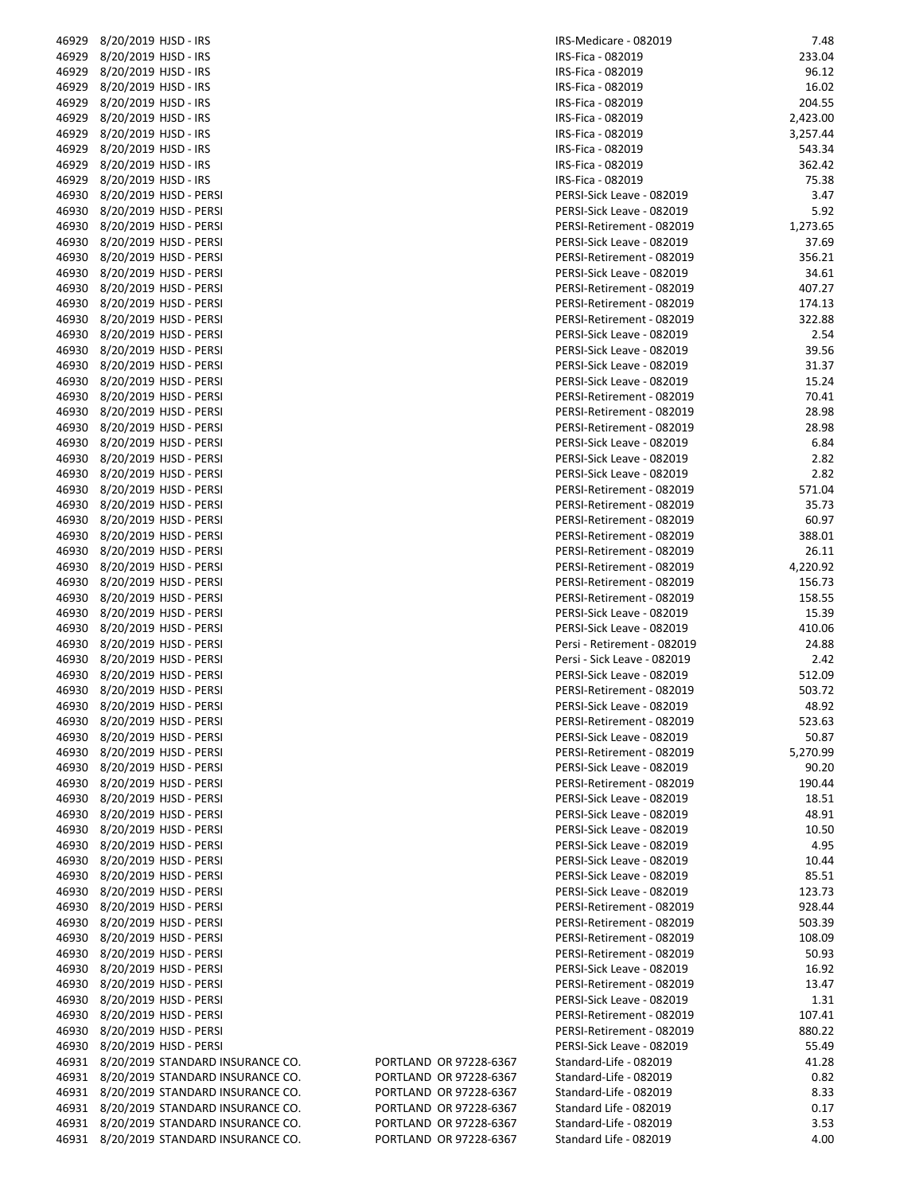|       | 46929 8/20/2019 HJSD - IRS             |                        | IRS-Medicare - 082019       | 7.48     |
|-------|----------------------------------------|------------------------|-----------------------------|----------|
|       | 46929 8/20/2019 HJSD - IRS             |                        | IRS-Fica - 082019           | 233.04   |
|       | 46929 8/20/2019 HJSD - IRS             |                        | IRS-Fica - 082019           | 96.12    |
|       |                                        |                        |                             |          |
|       | 46929 8/20/2019 HJSD - IRS             |                        | IRS-Fica - 082019           | 16.02    |
|       | 46929 8/20/2019 HJSD - IRS             |                        | IRS-Fica - 082019           | 204.55   |
|       | 46929 8/20/2019 HJSD - IRS             |                        | IRS-Fica - 082019           | 2,423.00 |
| 46929 | 8/20/2019 HJSD - IRS                   |                        | IRS-Fica - 082019           | 3,257.44 |
| 46929 | 8/20/2019 HJSD - IRS                   |                        | IRS-Fica - 082019           | 543.34   |
|       | 46929 8/20/2019 HJSD - IRS             |                        | IRS-Fica - 082019           | 362.42   |
|       |                                        |                        |                             |          |
|       | 46929 8/20/2019 HJSD - IRS             |                        | IRS-Fica - 082019           | 75.38    |
|       | 46930 8/20/2019 HJSD - PERSI           |                        | PERSI-Sick Leave - 082019   | 3.47     |
|       | 46930 8/20/2019 HJSD - PERSI           |                        | PERSI-Sick Leave - 082019   | 5.92     |
|       | 46930 8/20/2019 HJSD - PERSI           |                        | PERSI-Retirement - 082019   | 1,273.65 |
|       | 46930 8/20/2019 HJSD - PERSI           |                        | PERSI-Sick Leave - 082019   | 37.69    |
|       | 46930 8/20/2019 HJSD - PERSI           |                        | PERSI-Retirement - 082019   | 356.21   |
|       |                                        |                        |                             |          |
|       | 46930 8/20/2019 HJSD - PERSI           |                        | PERSI-Sick Leave - 082019   | 34.61    |
|       | 46930 8/20/2019 HJSD - PERSI           |                        | PERSI-Retirement - 082019   | 407.27   |
|       | 46930 8/20/2019 HJSD - PERSI           |                        | PERSI-Retirement - 082019   | 174.13   |
|       | 46930 8/20/2019 HJSD - PERSI           |                        | PERSI-Retirement - 082019   | 322.88   |
|       | 46930 8/20/2019 HJSD - PERSI           |                        | PERSI-Sick Leave - 082019   | 2.54     |
|       | 46930 8/20/2019 HJSD - PERSI           |                        | PERSI-Sick Leave - 082019   | 39.56    |
|       |                                        |                        |                             |          |
|       | 46930 8/20/2019 HJSD - PERSI           |                        | PERSI-Sick Leave - 082019   | 31.37    |
|       | 46930 8/20/2019 HJSD - PERSI           |                        | PERSI-Sick Leave - 082019   | 15.24    |
|       | 46930 8/20/2019 HJSD - PERSI           |                        | PERSI-Retirement - 082019   | 70.41    |
|       | 46930 8/20/2019 HJSD - PERSI           |                        | PERSI-Retirement - 082019   | 28.98    |
|       | 46930 8/20/2019 HJSD - PERSI           |                        | PERSI-Retirement - 082019   | 28.98    |
|       |                                        |                        |                             |          |
|       | 46930 8/20/2019 HJSD - PERSI           |                        | PERSI-Sick Leave - 082019   | 6.84     |
|       | 46930 8/20/2019 HJSD - PERSI           |                        | PERSI-Sick Leave - 082019   | 2.82     |
|       | 46930 8/20/2019 HJSD - PERSI           |                        | PERSI-Sick Leave - 082019   | 2.82     |
|       | 46930 8/20/2019 HJSD - PERSI           |                        | PERSI-Retirement - 082019   | 571.04   |
|       | 46930 8/20/2019 HJSD - PERSI           |                        | PERSI-Retirement - 082019   | 35.73    |
|       | 46930 8/20/2019 HJSD - PERSI           |                        | PERSI-Retirement - 082019   | 60.97    |
|       |                                        |                        |                             |          |
|       | 46930 8/20/2019 HJSD - PERSI           |                        | PERSI-Retirement - 082019   | 388.01   |
|       | 46930 8/20/2019 HJSD - PERSI           |                        | PERSI-Retirement - 082019   | 26.11    |
|       | 46930 8/20/2019 HJSD - PERSI           |                        | PERSI-Retirement - 082019   | 4,220.92 |
|       | 46930 8/20/2019 HJSD - PERSI           |                        | PERSI-Retirement - 082019   | 156.73   |
|       | 46930 8/20/2019 HJSD - PERSI           |                        | PERSI-Retirement - 082019   | 158.55   |
|       | 46930 8/20/2019 HJSD - PERSI           |                        |                             | 15.39    |
|       |                                        |                        | PERSI-Sick Leave - 082019   |          |
|       | 46930 8/20/2019 HJSD - PERSI           |                        | PERSI-Sick Leave - 082019   | 410.06   |
|       | 46930 8/20/2019 HJSD - PERSI           |                        | Persi - Retirement - 082019 | 24.88    |
|       | 46930 8/20/2019 HJSD - PERSI           |                        | Persi - Sick Leave - 082019 | 2.42     |
|       | 46930 8/20/2019 HJSD - PERSI           |                        | PERSI-Sick Leave - 082019   | 512.09   |
|       | 46930 8/20/2019 HJSD - PERSI           |                        | PERSI-Retirement - 082019   | 503.72   |
|       |                                        |                        |                             | 48.92    |
|       | 46930 8/20/2019 HJSD - PERSI           |                        | PERSI-Sick Leave - 082019   |          |
|       | 46930 8/20/2019 HJSD - PERSI           |                        | PERSI-Retirement - 082019   | 523.63   |
|       | 46930 8/20/2019 HJSD - PERSI           |                        | PERSI-Sick Leave - 082019   | 50.87    |
|       | 46930 8/20/2019 HJSD - PERSI           |                        | PERSI-Retirement - 082019   | 5,270.99 |
|       | 46930 8/20/2019 HJSD - PERSI           |                        | PERSI-Sick Leave - 082019   | 90.20    |
|       | 46930 8/20/2019 HJSD - PERSI           |                        | PERSI-Retirement - 082019   | 190.44   |
|       |                                        |                        |                             |          |
|       | 46930 8/20/2019 HJSD - PERSI           |                        | PERSI-Sick Leave - 082019   | 18.51    |
|       | 46930 8/20/2019 HJSD - PERSI           |                        | PERSI-Sick Leave - 082019   | 48.91    |
|       | 46930 8/20/2019 HJSD - PERSI           |                        | PERSI-Sick Leave - 082019   | 10.50    |
|       | 46930 8/20/2019 HJSD - PERSI           |                        | PERSI-Sick Leave - 082019   | 4.95     |
|       | 46930 8/20/2019 HJSD - PERSI           |                        | PERSI-Sick Leave - 082019   | 10.44    |
|       |                                        |                        |                             |          |
|       | 46930 8/20/2019 HJSD - PERSI           |                        | PERSI-Sick Leave - 082019   | 85.51    |
|       | 46930 8/20/2019 HJSD - PERSI           |                        | PERSI-Sick Leave - 082019   | 123.73   |
|       | 46930 8/20/2019 HJSD - PERSI           |                        | PERSI-Retirement - 082019   | 928.44   |
|       | 46930 8/20/2019 HJSD - PERSI           |                        | PERSI-Retirement - 082019   | 503.39   |
|       | 46930 8/20/2019 HJSD - PERSI           |                        | PERSI-Retirement - 082019   | 108.09   |
|       | 46930 8/20/2019 HJSD - PERSI           |                        | PERSI-Retirement - 082019   | 50.93    |
|       |                                        |                        |                             |          |
|       | 46930 8/20/2019 HJSD - PERSI           |                        | PERSI-Sick Leave - 082019   | 16.92    |
|       | 46930 8/20/2019 HJSD - PERSI           |                        | PERSI-Retirement - 082019   | 13.47    |
|       | 46930 8/20/2019 HJSD - PERSI           |                        | PERSI-Sick Leave - 082019   | 1.31     |
|       | 46930 8/20/2019 HJSD - PERSI           |                        | PERSI-Retirement - 082019   | 107.41   |
|       | 46930 8/20/2019 HJSD - PERSI           |                        | PERSI-Retirement - 082019   | 880.22   |
|       | 46930 8/20/2019 HJSD - PERSI           |                        |                             | 55.49    |
|       |                                        |                        | PERSI-Sick Leave - 082019   |          |
|       | 46931 8/20/2019 STANDARD INSURANCE CO. | PORTLAND OR 97228-6367 | Standard-Life - 082019      | 41.28    |
|       | 46931 8/20/2019 STANDARD INSURANCE CO. | PORTLAND OR 97228-6367 | Standard-Life - 082019      | 0.82     |
|       | 46931 8/20/2019 STANDARD INSURANCE CO. | PORTLAND OR 97228-6367 | Standard-Life - 082019      | 8.33     |
|       | 46931 8/20/2019 STANDARD INSURANCE CO. | PORTLAND OR 97228-6367 | Standard Life - 082019      | 0.17     |
|       | 46931 8/20/2019 STANDARD INSURANCE CO. | PORTLAND OR 97228-6367 | Standard-Life - 082019      | 3.53     |
|       |                                        |                        |                             |          |
|       | 46931 8/20/2019 STANDARD INSURANCE CO. | PORTLAND OR 97228-6367 | Standard Life - 082019      | 4.00     |

| 46929 | 8/20/2019 HJSD - IRS                         |                        | IRS-Medicare - 082019       | 7.48     |
|-------|----------------------------------------------|------------------------|-----------------------------|----------|
| 46929 | 8/20/2019 HJSD - IRS                         |                        | IRS-Fica - 082019           | 233.04   |
|       | 46929 8/20/2019 HJSD - IRS                   |                        | IRS-Fica - 082019           | 96.12    |
|       |                                              |                        |                             |          |
| 46929 | 8/20/2019 HJSD - IRS                         |                        | IRS-Fica - 082019           | 16.02    |
| 46929 | 8/20/2019 HJSD - IRS                         |                        | IRS-Fica - 082019           | 204.55   |
| 46929 | 8/20/2019 HJSD - IRS                         |                        | IRS-Fica - 082019           | 2,423.00 |
|       | 46929 8/20/2019 HJSD - IRS                   |                        | IRS-Fica - 082019           | 3,257.44 |
| 46929 | 8/20/2019 HJSD - IRS                         |                        | IRS-Fica - 082019           | 543.34   |
| 46929 | 8/20/2019 HJSD - IRS                         |                        | IRS-Fica - 082019           | 362.42   |
|       |                                              |                        |                             |          |
|       | 46929 8/20/2019 HJSD - IRS                   |                        | IRS-Fica - 082019           | 75.38    |
| 46930 | 8/20/2019 HJSD - PERSI                       |                        | PERSI-Sick Leave - 082019   | 3.47     |
| 46930 | 8/20/2019 HJSD - PERSI                       |                        | PERSI-Sick Leave - 082019   | 5.92     |
| 46930 | 8/20/2019 HJSD - PERSI                       |                        | PERSI-Retirement - 082019   | 1,273.65 |
| 46930 | 8/20/2019 HJSD - PERSI                       |                        | PERSI-Sick Leave - 082019   | 37.69    |
| 46930 |                                              |                        |                             |          |
|       | 8/20/2019 HJSD - PERSI                       |                        | PERSI-Retirement - 082019   | 356.21   |
| 46930 | 8/20/2019 HJSD - PERSI                       |                        | PERSI-Sick Leave - 082019   | 34.61    |
|       | 46930 8/20/2019 HJSD - PERSI                 |                        | PERSI-Retirement - 082019   | 407.27   |
| 46930 | 8/20/2019 HJSD - PERSI                       |                        | PERSI-Retirement - 082019   | 174.13   |
| 46930 | 8/20/2019 HJSD - PERSI                       |                        | PERSI-Retirement - 082019   | 322.88   |
| 46930 | 8/20/2019 HJSD - PERSI                       |                        | PERSI-Sick Leave - 082019   | 2.54     |
|       |                                              |                        |                             |          |
| 46930 | 8/20/2019 HJSD - PERSI                       |                        | PERSI-Sick Leave - 082019   | 39.56    |
| 46930 | 8/20/2019 HJSD - PERSI                       |                        | PERSI-Sick Leave - 082019   | 31.37    |
| 46930 | 8/20/2019 HJSD - PERSI                       |                        | PERSI-Sick Leave - 082019   | 15.24    |
|       | 46930 8/20/2019 HJSD - PERSI                 |                        | PERSI-Retirement - 082019   | 70.41    |
| 46930 | 8/20/2019 HJSD - PERSI                       |                        | PERSI-Retirement - 082019   | 28.98    |
|       |                                              |                        |                             |          |
| 46930 | 8/20/2019 HJSD - PERSI                       |                        | PERSI-Retirement - 082019   | 28.98    |
| 46930 | 8/20/2019 HJSD - PERSI                       |                        | PERSI-Sick Leave - 082019   | 6.84     |
| 46930 | 8/20/2019 HJSD - PERSI                       |                        | PERSI-Sick Leave - 082019   | 2.82     |
| 46930 | 8/20/2019 HJSD - PERSI                       |                        | PERSI-Sick Leave - 082019   | 2.82     |
| 46930 | 8/20/2019 HJSD - PERSI                       |                        | PERSI-Retirement - 082019   | 571.04   |
|       |                                              |                        |                             |          |
|       | 46930 8/20/2019 HJSD - PERSI                 |                        | PERSI-Retirement - 082019   | 35.73    |
| 46930 | 8/20/2019 HJSD - PERSI                       |                        | PERSI-Retirement - 082019   | 60.97    |
| 46930 | 8/20/2019 HJSD - PERSI                       |                        | PERSI-Retirement - 082019   | 388.01   |
| 46930 | 8/20/2019 HJSD - PERSI                       |                        | PERSI-Retirement - 082019   | 26.11    |
| 46930 | 8/20/2019 HJSD - PERSI                       |                        | PERSI-Retirement - 082019   | 4,220.92 |
|       |                                              |                        |                             |          |
| 46930 | 8/20/2019 HJSD - PERSI                       |                        | PERSI-Retirement - 082019   | 156.73   |
| 46930 | 8/20/2019 HJSD - PERSI                       |                        | PERSI-Retirement - 082019   | 158.55   |
| 46930 | 8/20/2019 HJSD - PERSI                       |                        | PERSI-Sick Leave - 082019   | 15.39    |
| 46930 | 8/20/2019 HJSD - PERSI                       |                        | PERSI-Sick Leave - 082019   | 410.06   |
| 46930 | 8/20/2019 HJSD - PERSI                       |                        | Persi - Retirement - 082019 | 24.88    |
|       |                                              |                        |                             |          |
| 46930 | 8/20/2019 HJSD - PERSI                       |                        | Persi - Sick Leave - 082019 | 2.42     |
| 46930 | 8/20/2019 HJSD - PERSI                       |                        | PERSI-Sick Leave - 082019   | 512.09   |
| 46930 | 8/20/2019 HJSD - PERSI                       |                        | PERSI-Retirement - 082019   | 503.72   |
| 46930 | 8/20/2019 HJSD - PERSI                       |                        | PERSI-Sick Leave - 082019   | 48.92    |
|       | 46930    8/20/2019  HJSD - PERSI             |                        | PERSI-Retirement - 082019   | 523.63   |
|       | 46930 8/20/2019 HJSD - PERSI                 |                        |                             |          |
|       |                                              |                        | PERSI-Sick Leave - 082019   | 50.87    |
| 46930 | 8/20/2019 HJSD - PERSI                       |                        | PERSI-Retirement - 082019   | 5,270.99 |
|       | 46930 8/20/2019 HJSD - PERSI                 |                        | PERSI-Sick Leave - 082019   | 90.20    |
| 46930 | 8/20/2019 HJSD - PERSI                       |                        | PERSI-Retirement - 082019   | 190.44   |
| 46930 | 8/20/2019 HJSD - PERSI                       |                        | PERSI-Sick Leave - 082019   | 18.51    |
| 46930 | 8/20/2019 HJSD - PERSI                       |                        | PERSI-Sick Leave - 082019   | 48.91    |
|       |                                              |                        |                             |          |
|       | 46930 8/20/2019 HJSD - PERSI                 |                        | PERSI-Sick Leave - 082019   | 10.50    |
| 46930 | 8/20/2019 HJSD - PERSI                       |                        | PERSI-Sick Leave - 082019   | 4.95     |
| 46930 | 8/20/2019 HJSD - PERSI                       |                        | PERSI-Sick Leave - 082019   | 10.44    |
|       | 46930 8/20/2019 HJSD - PERSI                 |                        | PERSI-Sick Leave - 082019   | 85.51    |
| 46930 | 8/20/2019 HJSD - PERSI                       |                        | PERSI-Sick Leave - 082019   | 123.73   |
|       |                                              |                        |                             |          |
| 46930 | 8/20/2019 HJSD - PERSI                       |                        | PERSI-Retirement - 082019   | 928.44   |
| 46930 | 8/20/2019 HJSD - PERSI                       |                        | PERSI-Retirement - 082019   | 503.39   |
|       | 46930 8/20/2019 HJSD - PERSI                 |                        | PERSI-Retirement - 082019   | 108.09   |
| 46930 | 8/20/2019 HJSD - PERSI                       |                        | PERSI-Retirement - 082019   | 50.93    |
| 46930 | 8/20/2019 HJSD - PERSI                       |                        | PERSI-Sick Leave - 082019   | 16.92    |
|       |                                              |                        |                             |          |
|       | 46930 8/20/2019 HJSD - PERSI                 |                        | PERSI-Retirement - 082019   | 13.47    |
| 46930 | 8/20/2019 HJSD - PERSI                       |                        | PERSI-Sick Leave - 082019   | 1.31     |
| 46930 | 8/20/2019 HJSD - PERSI                       |                        | PERSI-Retirement - 082019   | 107.41   |
|       | 46930 8/20/2019 HJSD - PERSI                 |                        | PERSI-Retirement - 082019   | 880.22   |
|       | 46930 8/20/2019 HJSD - PERSI                 |                        | PERSI-Sick Leave - 082019   | 55.49    |
|       |                                              |                        |                             |          |
|       | 46931 8/20/2019 STANDARD INSURANCE CO.       | PORTLAND OR 97228-6367 | Standard-Life - 082019      | 41.28    |
|       | 46931 8/20/2019 STANDARD INSURANCE CO.       | PORTLAND OR 97228-6367 | Standard-Life - 082019      | 0.82     |
|       | 46931 8/20/2019 STANDARD INSURANCE CO.       | PORTLAND OR 97228-6367 | Standard-Life - 082019      | 8.33     |
|       | 46931 8/20/2019 STANDARD INSURANCE CO.       | PORTLAND OR 97228-6367 | Standard Life - 082019      | 0.17     |
|       | 46931    8/20/2019  STANDARD INSURANCE CO.   | PORTLAND OR 97228-6367 | Standard-Life - 082019      | 3.53     |
|       | 46931     8/20/2019  STANDARD INSLIRANCE CO. | PORTLAND OR 97228-6367 | Standard Life - 082019      | 400      |
|       |                                              |                        |                             |          |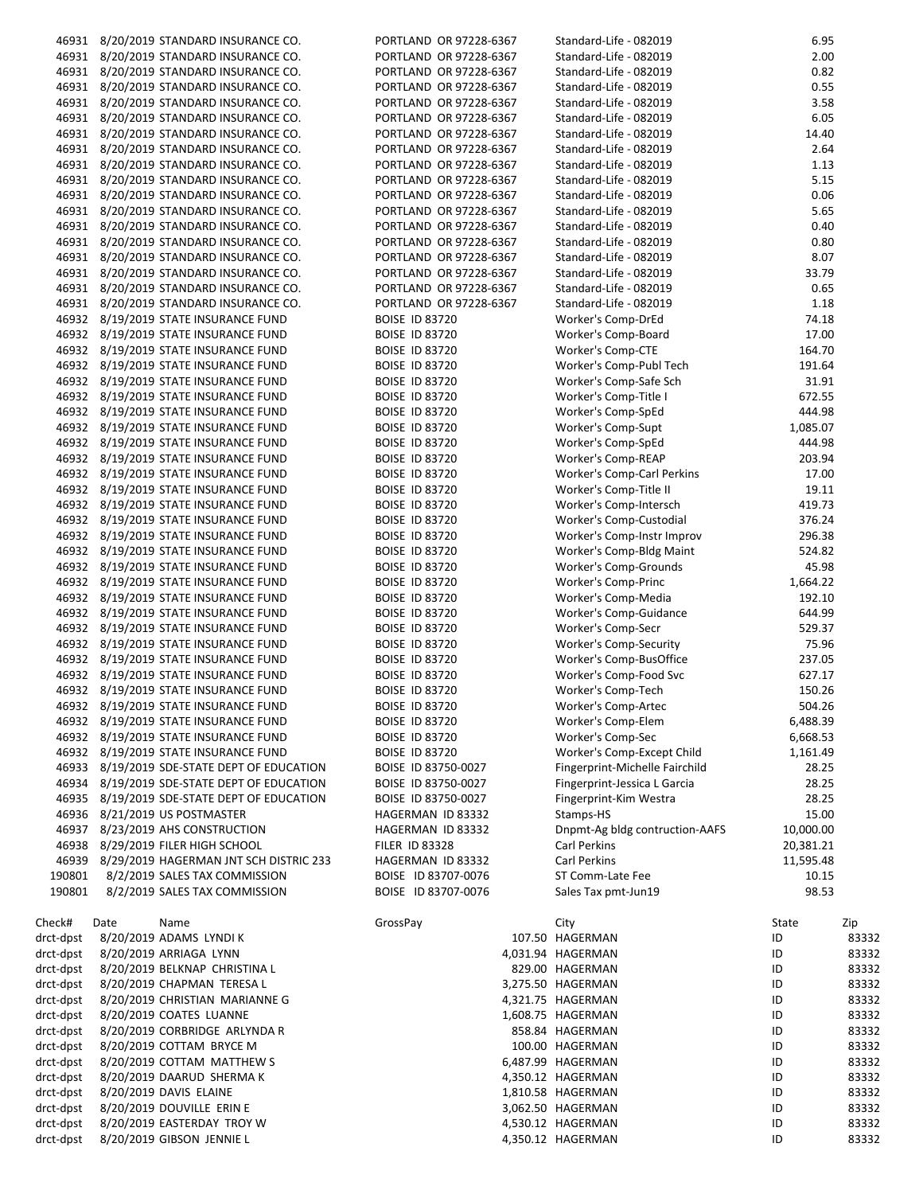|           |      | 46931 8/20/2019 STANDARD INSURANCE CO.      | PORTLAND OR 97228-6367 | Standard-Life - 082019         | 6.95      |       |
|-----------|------|---------------------------------------------|------------------------|--------------------------------|-----------|-------|
|           |      | 46931 8/20/2019 STANDARD INSURANCE CO.      | PORTLAND OR 97228-6367 | Standard-Life - 082019         | 2.00      |       |
|           |      | 46931 8/20/2019 STANDARD INSURANCE CO.      | PORTLAND OR 97228-6367 | Standard-Life - 082019         | 0.82      |       |
|           |      | 46931 8/20/2019 STANDARD INSURANCE CO.      | PORTLAND OR 97228-6367 | Standard-Life - 082019         | 0.55      |       |
|           |      | 46931 8/20/2019 STANDARD INSURANCE CO.      | PORTLAND OR 97228-6367 | Standard-Life - 082019         | 3.58      |       |
|           |      | 46931 8/20/2019 STANDARD INSURANCE CO.      | PORTLAND OR 97228-6367 | Standard-Life - 082019         | 6.05      |       |
|           |      |                                             |                        |                                |           |       |
|           |      | 46931 8/20/2019 STANDARD INSURANCE CO.      | PORTLAND OR 97228-6367 | Standard-Life - 082019         | 14.40     |       |
|           |      | 46931 8/20/2019 STANDARD INSURANCE CO.      | PORTLAND OR 97228-6367 | Standard-Life - 082019         | 2.64      |       |
|           |      | 46931 8/20/2019 STANDARD INSURANCE CO.      | PORTLAND OR 97228-6367 | Standard-Life - 082019         | 1.13      |       |
|           |      | 46931 8/20/2019 STANDARD INSURANCE CO.      | PORTLAND OR 97228-6367 | Standard-Life - 082019         | 5.15      |       |
|           |      | 46931 8/20/2019 STANDARD INSURANCE CO.      | PORTLAND OR 97228-6367 | Standard-Life - 082019         | 0.06      |       |
|           |      | 46931 8/20/2019 STANDARD INSURANCE CO.      | PORTLAND OR 97228-6367 | Standard-Life - 082019         | 5.65      |       |
|           |      | 46931 8/20/2019 STANDARD INSURANCE CO.      | PORTLAND OR 97228-6367 | Standard-Life - 082019         | 0.40      |       |
|           |      |                                             |                        |                                | 0.80      |       |
|           |      | 46931 8/20/2019 STANDARD INSURANCE CO.      | PORTLAND OR 97228-6367 | Standard-Life - 082019         |           |       |
|           |      | 46931 8/20/2019 STANDARD INSURANCE CO.      | PORTLAND OR 97228-6367 | Standard-Life - 082019         | 8.07      |       |
|           |      | 46931 8/20/2019 STANDARD INSURANCE CO.      | PORTLAND OR 97228-6367 | Standard-Life - 082019         | 33.79     |       |
|           |      | 46931 8/20/2019 STANDARD INSURANCE CO.      | PORTLAND OR 97228-6367 | Standard-Life - 082019         | 0.65      |       |
|           |      | 46931 8/20/2019 STANDARD INSURANCE CO.      | PORTLAND OR 97228-6367 | Standard-Life - 082019         | 1.18      |       |
|           |      | 46932 8/19/2019 STATE INSURANCE FUND        | <b>BOISE ID 83720</b>  | Worker's Comp-DrEd             | 74.18     |       |
|           |      | 46932 8/19/2019 STATE INSURANCE FUND        | <b>BOISE ID 83720</b>  | Worker's Comp-Board            | 17.00     |       |
|           |      | 46932 8/19/2019 STATE INSURANCE FUND        | <b>BOISE ID 83720</b>  | <b>Worker's Comp-CTE</b>       | 164.70    |       |
|           |      |                                             |                        |                                |           |       |
|           |      | 46932 8/19/2019 STATE INSURANCE FUND        | <b>BOISE ID 83720</b>  | Worker's Comp-Publ Tech        | 191.64    |       |
|           |      | 46932 8/19/2019 STATE INSURANCE FUND        | <b>BOISE ID 83720</b>  | Worker's Comp-Safe Sch         | 31.91     |       |
|           |      | 46932 8/19/2019 STATE INSURANCE FUND        | <b>BOISE ID 83720</b>  | Worker's Comp-Title I          | 672.55    |       |
|           |      | 46932 8/19/2019 STATE INSURANCE FUND        | <b>BOISE ID 83720</b>  | Worker's Comp-SpEd             | 444.98    |       |
|           |      | 46932 8/19/2019 STATE INSURANCE FUND        | <b>BOISE ID 83720</b>  | Worker's Comp-Supt             | 1,085.07  |       |
|           |      | 46932 8/19/2019 STATE INSURANCE FUND        | <b>BOISE ID 83720</b>  | Worker's Comp-SpEd             | 444.98    |       |
|           |      | 46932 8/19/2019 STATE INSURANCE FUND        | <b>BOISE ID 83720</b>  | Worker's Comp-REAP             | 203.94    |       |
|           |      | 46932 8/19/2019 STATE INSURANCE FUND        | <b>BOISE ID 83720</b>  | Worker's Comp-Carl Perkins     | 17.00     |       |
|           |      |                                             |                        |                                |           |       |
|           |      | 46932 8/19/2019 STATE INSURANCE FUND        | <b>BOISE ID 83720</b>  | Worker's Comp-Title II         | 19.11     |       |
|           |      | 46932 8/19/2019 STATE INSURANCE FUND        | <b>BOISE ID 83720</b>  | Worker's Comp-Intersch         | 419.73    |       |
|           |      | 46932 8/19/2019 STATE INSURANCE FUND        | <b>BOISE ID 83720</b>  | Worker's Comp-Custodial        | 376.24    |       |
|           |      | 46932 8/19/2019 STATE INSURANCE FUND        | <b>BOISE ID 83720</b>  | Worker's Comp-Instr Improv     | 296.38    |       |
|           |      | 46932 8/19/2019 STATE INSURANCE FUND        | <b>BOISE ID 83720</b>  | Worker's Comp-Bldg Maint       | 524.82    |       |
|           |      | 46932 8/19/2019 STATE INSURANCE FUND        | <b>BOISE ID 83720</b>  | Worker's Comp-Grounds          | 45.98     |       |
|           |      | 46932 8/19/2019 STATE INSURANCE FUND        | <b>BOISE ID 83720</b>  | Worker's Comp-Princ            | 1,664.22  |       |
|           |      | 46932 8/19/2019 STATE INSURANCE FUND        | <b>BOISE ID 83720</b>  | Worker's Comp-Media            | 192.10    |       |
|           |      |                                             |                        |                                |           |       |
|           |      | 46932 8/19/2019 STATE INSURANCE FUND        | <b>BOISE ID 83720</b>  | Worker's Comp-Guidance         | 644.99    |       |
|           |      | 46932 8/19/2019 STATE INSURANCE FUND        | <b>BOISE ID 83720</b>  | Worker's Comp-Secr             | 529.37    |       |
|           |      | 46932 8/19/2019 STATE INSURANCE FUND        | <b>BOISE ID 83720</b>  | Worker's Comp-Security         | 75.96     |       |
|           |      | 46932 8/19/2019 STATE INSURANCE FUND        | <b>BOISE ID 83720</b>  | Worker's Comp-BusOffice        | 237.05    |       |
|           |      | 46932 8/19/2019 STATE INSURANCE FUND        | <b>BOISE ID 83720</b>  | Worker's Comp-Food Svc         | 627.17    |       |
|           |      | 46932 8/19/2019 STATE INSURANCE FUND        | <b>BOISE ID 83720</b>  | Worker's Comp-Tech             | 150.26    |       |
|           |      | 46932 8/19/2019 STATE INSURANCE FUND        | <b>BOISE ID 83720</b>  | Worker's Comp-Artec            | 504.26    |       |
|           |      | 46932 8/19/2019 STATE INSURANCE FUND        | <b>BOISE ID 83720</b>  | Worker's Comp-Elem             | 6,488.39  |       |
|           |      | 46932 8/19/2019 STATE INSURANCE FUND        | <b>BOISE ID 83720</b>  | Worker's Comp-Sec              | 6,668.53  |       |
|           |      |                                             |                        |                                |           |       |
|           |      | 46932 8/19/2019 STATE INSURANCE FUND        | <b>BOISE ID 83720</b>  | Worker's Comp-Except Child     | 1,161.49  |       |
|           |      | 46933 8/19/2019 SDE-STATE DEPT OF EDUCATION | BOISE ID 83750-0027    | Fingerprint-Michelle Fairchild | 28.25     |       |
|           |      | 46934 8/19/2019 SDE-STATE DEPT OF EDUCATION | BOISE ID 83750-0027    | Fingerprint-Jessica L Garcia   | 28.25     |       |
|           |      | 46935 8/19/2019 SDE-STATE DEPT OF EDUCATION | BOISE ID 83750-0027    | Fingerprint-Kim Westra         | 28.25     |       |
|           |      | 46936 8/21/2019 US POSTMASTER               | HAGERMAN ID 83332      | Stamps-HS                      | 15.00     |       |
|           |      | 46937 8/23/2019 AHS CONSTRUCTION            | HAGERMAN ID 83332      | Dnpmt-Ag bldg contruction-AAFS | 10,000.00 |       |
|           |      | 46938 8/29/2019 FILER HIGH SCHOOL           | <b>FILER ID 83328</b>  | Carl Perkins                   | 20,381.21 |       |
| 46939     |      | 8/29/2019 HAGERMAN JNT SCH DISTRIC 233      |                        |                                |           |       |
|           |      |                                             | HAGERMAN ID 83332      | Carl Perkins                   | 11,595.48 |       |
| 190801    |      | 8/2/2019 SALES TAX COMMISSION               | BOISE ID 83707-0076    | ST Comm-Late Fee               | 10.15     |       |
| 190801    |      | 8/2/2019 SALES TAX COMMISSION               | BOISE ID 83707-0076    | Sales Tax pmt-Jun19            | 98.53     |       |
|           |      |                                             |                        |                                |           |       |
| Check#    | Date | Name                                        | GrossPay               | City                           | State     | Zip   |
| drct-dpst |      | 8/20/2019 ADAMS LYNDI K                     |                        | 107.50 HAGERMAN                | ID        | 83332 |
| drct-dpst |      | 8/20/2019 ARRIAGA LYNN                      |                        | 4,031.94 HAGERMAN              | ID        | 83332 |
| drct-dpst |      | 8/20/2019 BELKNAP CHRISTINA L               |                        | 829.00 HAGERMAN                | ID        | 83332 |
| drct-dpst |      | 8/20/2019 CHAPMAN TERESA L                  |                        | 3,275.50 HAGERMAN              | ID        | 83332 |
|           |      | 8/20/2019 CHRISTIAN MARIANNE G              |                        |                                |           |       |
| drct-dpst |      |                                             |                        | 4,321.75 HAGERMAN              | ID        | 83332 |
| drct-dpst |      | 8/20/2019 COATES LUANNE                     |                        | 1,608.75 HAGERMAN              | ID        | 83332 |
| drct-dpst |      | 8/20/2019 CORBRIDGE ARLYNDA R               |                        | 858.84 HAGERMAN                | ID        | 83332 |
| drct-dpst |      | 8/20/2019 COTTAM BRYCE M                    |                        | 100.00 HAGERMAN                | ID        | 83332 |
| drct-dpst |      | 8/20/2019 COTTAM MATTHEW S                  |                        | 6,487.99 HAGERMAN              | ID        | 83332 |
| drct-dpst |      | 8/20/2019 DAARUD SHERMA K                   |                        | 4,350.12 HAGERMAN              | ID        | 83332 |
| drct-dpst |      | 8/20/2019 DAVIS ELAINE                      |                        | 1,810.58 HAGERMAN              | ID        | 83332 |
| drct-dpst |      | 8/20/2019 DOUVILLE ERIN E                   |                        | 3,062.50 HAGERMAN              | ID        | 83332 |
|           |      |                                             |                        | 4,530.12 HAGERMAN              |           |       |
| drct-dpst |      | 8/20/2019 EASTERDAY TROY W                  |                        |                                | ID        | 83332 |
| drct-dpst |      | 8/20/2019 GIBSON JENNIE L                   |                        | 4,350.12 HAGERMAN              | ID        | 83332 |